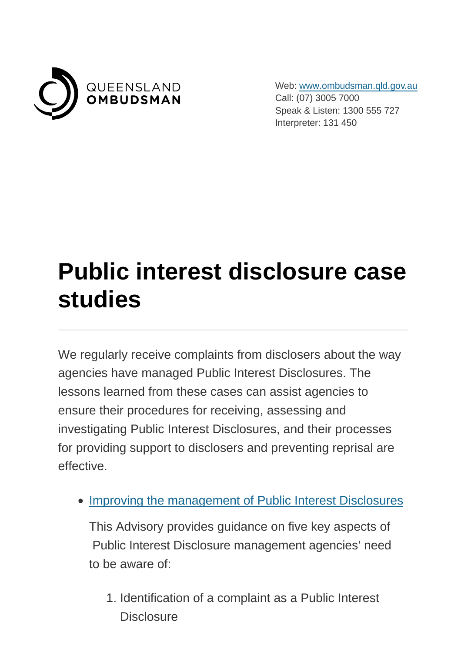

Web: [www.ombudsman.qld.gov.au](https://www.ombudsman.qld.gov.au/) Call: (07) 3005 7000 Speak & Listen: 1300 555 727 Interpreter: 131 450

## **Public interest disclosure case studies**

We regularly receive complaints from disclosers about the way agencies have managed Public Interest Disclosures. The lessons learned from these cases can assist agencies to ensure their procedures for receiving, assessing and investigating Public Interest Disclosures, and their processes for providing support to disclosers and preventing reprisal are effective.

• [Improving the management of Public Interest Disclosures](https://www.ombudsman.qld.gov.au/ArticleDocuments/245/Ombudsman%20Advisory%2020%202014%20Sept.pdf.aspx)

This Advisory provides guidance on five key aspects of Public Interest Disclosure management agencies' need to be aware of:

1. Identification of a complaint as a Public Interest **Disclosure**